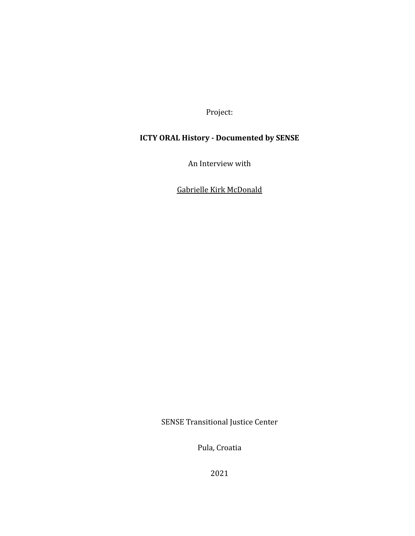Project:

## **ICTY ORAL History - Documented by SENSE**

An Interview with

Gabrielle Kirk McDonald

SENSE Transitional Justice Center

Pula, Croatia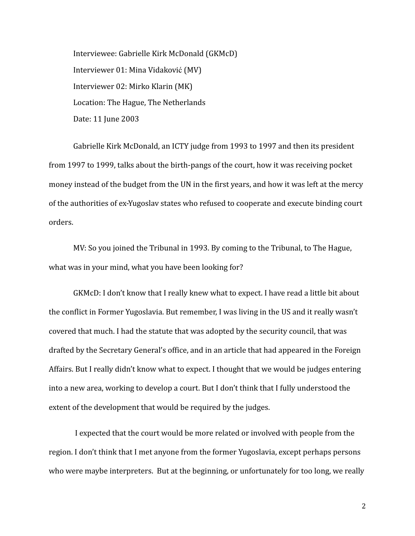Interviewee: Gabrielle Kirk McDonald (GKMcD) Interviewer 01: Mina Vidaković (MV) Interviewer 02: Mirko Klarin (MK) Location: The Hague, The Netherlands Date: 11 June 2003

Gabrielle Kirk McDonald, an ICTY judge from 1993 to 1997 and then its president from 1997 to 1999, talks about the birth-pangs of the court, how it was receiving pocket money instead of the budget from the UN in the first years, and how it was left at the mercy of the authorities of ex-Yugoslav states who refused to cooperate and execute binding court orders.

MV: So you joined the Tribunal in 1993. By coming to the Tribunal, to The Hague, what was in your mind, what you have been looking for?

GKMcD: I don't know that I really knew what to expect. I have read a little bit about the conflict in Former Yugoslavia. But remember, I was living in the US and it really wasn't covered that much. I had the statute that was adopted by the security council, that was drafted by the Secretary General's office, and in an article that had appeared in the Foreign Affairs. But I really didn't know what to expect. I thought that we would be judges entering into a new area, working to develop a court. But I don't think that I fully understood the extent of the development that would be required by the judges.

I expected that the court would be more related or involved with people from the region. I don't think that I met anyone from the former Yugoslavia, except perhaps persons who were maybe interpreters. But at the beginning, or unfortunately for too long, we really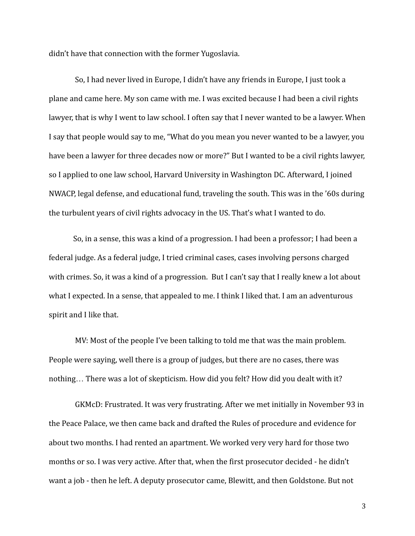didn't have that connection with the former Yugoslavia.

So, I had never lived in Europe, I didn't have any friends in Europe, I just took a plane and came here. My son came with me. I was excited because I had been a civil rights lawyer, that is why I went to law school. I often say that I never wanted to be a lawyer. When I say that people would say to me, "What do you mean you never wanted to be a lawyer, you have been a lawyer for three decades now or more?" But I wanted to be a civil rights lawyer, so I applied to one law school, Harvard University in Washington DC. Afterward, I joined NWACP, legal defense, and educational fund, traveling the south. This was in the '60s during the turbulent years of civil rights advocacy in the US. That's what I wanted to do.

So, in a sense, this was a kind of a progression. I had been a professor; I had been a federal judge. As a federal judge, I tried criminal cases, cases involving persons charged with crimes. So, it was a kind of a progression. But I can't say that I really knew a lot about what I expected. In a sense, that appealed to me. I think I liked that. I am an adventurous spirit and I like that.

MV: Most of the people I've been talking to told me that was the main problem. People were saying, well there is a group of judges, but there are no cases, there was nothing… There was a lot of skepticism. How did you felt? How did you dealt with it?

GKMcD: Frustrated. It was very frustrating. After we met initially in November 93 in the Peace Palace, we then came back and drafted the Rules of procedure and evidence for about two months. I had rented an apartment. We worked very very hard for those two months or so. I was very active. After that, when the first prosecutor decided - he didn't want a job - then he left. A deputy prosecutor came, Blewitt, and then Goldstone. But not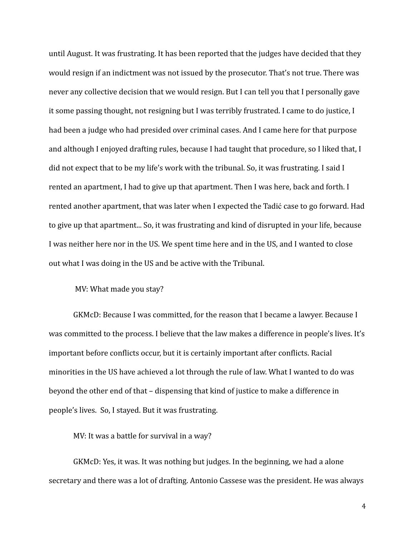until August. It was frustrating. It has been reported that the judges have decided that they would resign if an indictment was not issued by the prosecutor. That's not true. There was never any collective decision that we would resign. But I can tell you that I personally gave it some passing thought, not resigning but I was terribly frustrated. I came to do justice, I had been a judge who had presided over criminal cases. And I came here for that purpose and although I enjoyed drafting rules, because I had taught that procedure, so I liked that, I did not expect that to be my life's work with the tribunal. So, it was frustrating. I said I rented an apartment, I had to give up that apartment. Then I was here, back and forth. I rented another apartment, that was later when I expected the Tadić case to go forward. Had to give up that apartment... So, it was frustrating and kind of disrupted in your life, because I was neither here nor in the US. We spent time here and in the US, and I wanted to close out what I was doing in the US and be active with the Tribunal.

## MV: What made you stay?

GKMcD: Because I was committed, for the reason that I became a lawyer. Because I was committed to the process. I believe that the law makes a difference in people's lives. It's important before conflicts occur, but it is certainly important after conflicts. Racial minorities in the US have achieved a lot through the rule of law. What I wanted to do was beyond the other end of that – dispensing that kind of justice to make a difference in people's lives. So, I stayed. But it was frustrating.

MV: It was a battle for survival in a way?

GKMcD: Yes, it was. It was nothing but judges. In the beginning, we had a alone secretary and there was a lot of drafting. Antonio Cassese was the president. He was always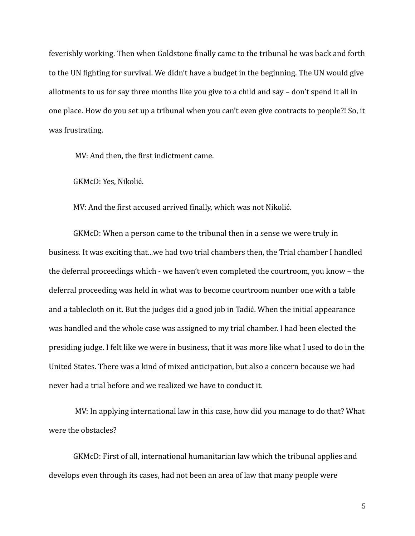feverishly working. Then when Goldstone finally came to the tribunal he was back and forth to the UN fighting for survival. We didn't have a budget in the beginning. The UN would give allotments to us for say three months like you give to a child and say – don't spend it all in one place. How do you set up a tribunal when you can't even give contracts to people?! So, it was frustrating.

MV: And then, the first indictment came.

GKMcD: Yes, Nikolić.

MV: And the first accused arrived finally, which was not Nikolić.

GKMcD: When a person came to the tribunal then in a sense we were truly in business. It was exciting that...we had two trial chambers then, the Trial chamber I handled the deferral proceedings which - we haven't even completed the courtroom, you know – the deferral proceeding was held in what was to become courtroom number one with a table and a tablecloth on it. But the judges did a good job in Tadić. When the initial appearance was handled and the whole case was assigned to my trial chamber. I had been elected the presiding judge. I felt like we were in business, that it was more like what I used to do in the United States. There was a kind of mixed anticipation, but also a concern because we had never had a trial before and we realized we have to conduct it.

MV: In applying international law in this case, how did you manage to do that? What were the obstacles?

GKMcD: First of all, international humanitarian law which the tribunal applies and develops even through its cases, had not been an area of law that many people were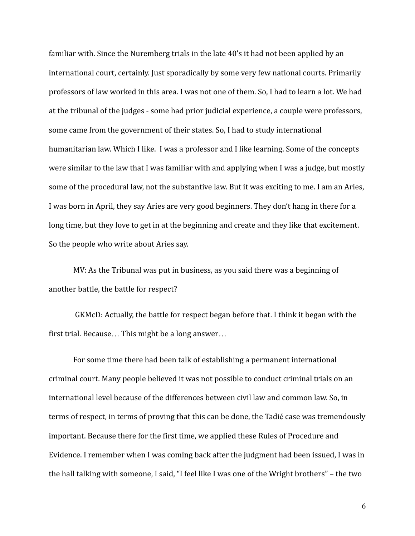familiar with. Since the Nuremberg trials in the late 40's it had not been applied by an international court, certainly. Just sporadically by some very few national courts. Primarily professors of law worked in this area. I was not one of them. So, I had to learn a lot. We had at the tribunal of the judges - some had prior judicial experience, a couple were professors, some came from the government of their states. So, I had to study international humanitarian law. Which I like. I was a professor and I like learning. Some of the concepts were similar to the law that I was familiar with and applying when I was a judge, but mostly some of the procedural law, not the substantive law. But it was exciting to me. I am an Aries, I was born in April, they say Aries are very good beginners. They don't hang in there for a long time, but they love to get in at the beginning and create and they like that excitement. So the people who write about Aries say.

MV: As the Tribunal was put in business, as you said there was a beginning of another battle, the battle for respect?

GKMcD: Actually, the battle for respect began before that. I think it began with the first trial. Because… This might be a long answer…

For some time there had been talk of establishing a permanent international criminal court. Many people believed it was not possible to conduct criminal trials on an international level because of the differences between civil law and common law. So, in terms of respect, in terms of proving that this can be done, the Tadić case was tremendously important. Because there for the first time, we applied these Rules of Procedure and Evidence. I remember when I was coming back after the judgment had been issued, I was in the hall talking with someone, I said, "I feel like I was one of the Wright brothers" – the two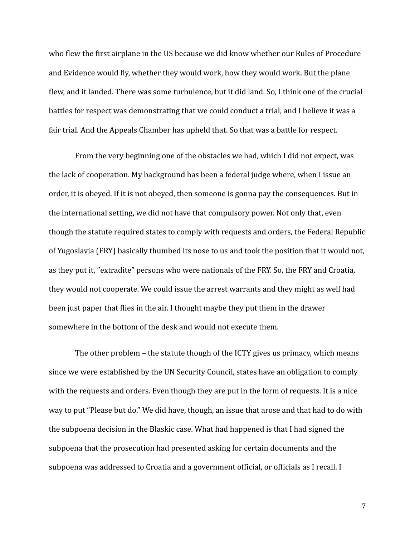who flew the first airplane in the US because we did know whether our Rules of Procedure and Evidence would fly, whether they would work, how they would work. But the plane flew, and it landed. There was some turbulence, but it did land. So, I think one of the crucial battles for respect was demonstrating that we could conduct a trial, and I believe it was a fair trial. And the Appeals Chamber has upheld that. So that was a battle for respect.

From the very beginning one of the obstacles we had, which I did not expect, was the lack of cooperation. My background has been a federal judge where, when I issue an order, it is obeyed. If it is not obeyed, then someone is gonna pay the consequences. But in the international setting, we did not have that compulsory power. Not only that, even though the statute required states to comply with requests and orders, the Federal Republic of Yugoslavia (FRY) basically thumbed its nose to us and took the position that it would not, as they put it, "extradite" persons who were nationals of the FRY. So, the FRY and Croatia, they would not cooperate. We could issue the arrest warrants and they might as well had been just paper that flies in the air. I thought maybe they put them in the drawer somewhere in the bottom of the desk and would not execute them.

The other problem – the statute though of the ICTY gives us primacy, which means since we were established by the UN Security Council, states have an obligation to comply with the requests and orders. Even though they are put in the form of requests. It is a nice way to put "Please but do." We did have, though, an issue that arose and that had to do with the subpoena decision in the Blaskic case. What had happened is that I had signed the subpoena that the prosecution had presented asking for certain documents and the subpoena was addressed to Croatia and a government official, or officials as I recall. I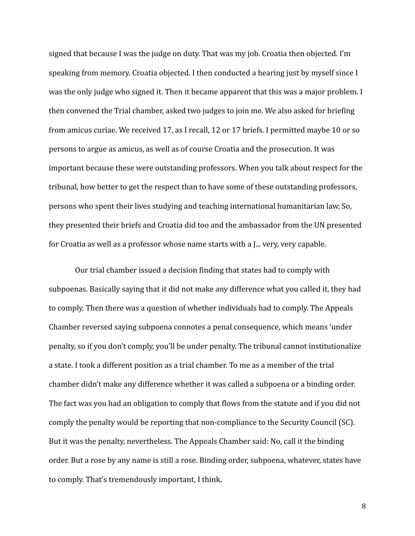signed that because I was the judge on duty. That was my job. Croatia then objected. I'm speaking from memory. Croatia objected. I then conducted a hearing just by myself since I was the only judge who signed it. Then it became apparent that this was a major problem. I then convened the Trial chamber, asked two judges to join me. We also asked for briefing from amicus curiae. We received 17, as I recall, 12 or 17 briefs. I permitted maybe 10 or so persons to argue as amicus, as well as of course Croatia and the prosecution. It was important because these were outstanding professors. When you talk about respect for the tribunal, how better to get the respect than to have some of these outstanding professors, persons who spent their lives studying and teaching international humanitarian law. So, they presented their briefs and Croatia did too and the ambassador from the UN presented for Croatia as well as a professor whose name starts with a J... very, very capable.

Our trial chamber issued a decision finding that states had to comply with subpoenas. Basically saying that it did not make any difference what you called it, they had to comply. Then there was a question of whether individuals had to comply. The Appeals Chamber reversed saying subpoena connotes a penal consequence, which means 'under penalty, so if you don't comply, you'll be under penalty. The tribunal cannot institutionalize a state. I took a different position as a trial chamber. To me as a member of the trial chamber didn't make any difference whether it was called a subpoena or a binding order. The fact was you had an obligation to comply that flows from the statute and if you did not comply the penalty would be reporting that non-compliance to the Security Council (SC). But it was the penalty, nevertheless. The Appeals Chamber said: No, call it the binding order. But a rose by any name is still a rose. Binding order, subpoena, whatever, states have to comply. That's tremendously important, I think.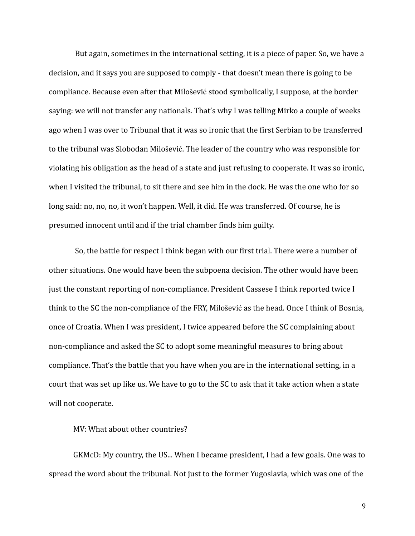But again, sometimes in the international setting, it is a piece of paper. So, we have a decision, and it says you are supposed to comply - that doesn't mean there is going to be compliance. Because even after that Milošević stood symbolically, I suppose, at the border saying: we will not transfer any nationals. That's why I was telling Mirko a couple of weeks ago when I was over to Tribunal that it was so ironic that the first Serbian to be transferred to the tribunal was Slobodan Milošević. The leader of the country who was responsible for violating his obligation as the head of a state and just refusing to cooperate. It was so ironic, when I visited the tribunal, to sit there and see him in the dock. He was the one who for so long said: no, no, no, it won't happen. Well, it did. He was transferred. Of course, he is presumed innocent until and if the trial chamber finds him guilty.

So, the battle for respect I think began with our first trial. There were a number of other situations. One would have been the subpoena decision. The other would have been just the constant reporting of non-compliance. President Cassese I think reported twice I think to the SC the non-compliance of the FRY, Milošević as the head. Once I think of Bosnia, once of Croatia. When I was president, I twice appeared before the SC complaining about non-compliance and asked the SC to adopt some meaningful measures to bring about compliance. That's the battle that you have when you are in the international setting, in a court that was set up like us. We have to go to the SC to ask that it take action when a state will not cooperate.

MV: What about other countries?

GKMcD: My country, the US... When I became president, I had a few goals. One was to spread the word about the tribunal. Not just to the former Yugoslavia, which was one of the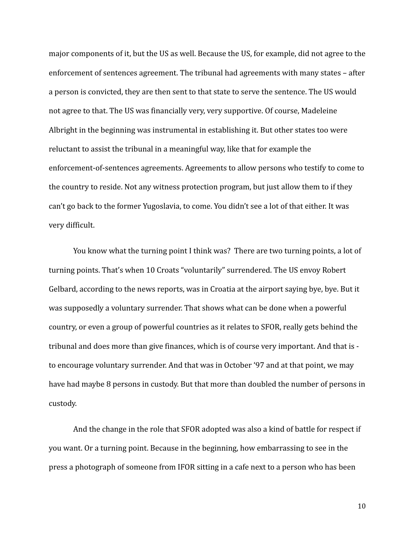major components of it, but the US as well. Because the US, for example, did not agree to the enforcement of sentences agreement. The tribunal had agreements with many states – after a person is convicted, they are then sent to that state to serve the sentence. The US would not agree to that. The US was financially very, very supportive. Of course, Madeleine Albright in the beginning was instrumental in establishing it. But other states too were reluctant to assist the tribunal in a meaningful way, like that for example the enforcement-of-sentences agreements. Agreements to allow persons who testify to come to the country to reside. Not any witness protection program, but just allow them to if they can't go back to the former Yugoslavia, to come. You didn't see a lot of that either. It was very difficult.

You know what the turning point I think was? There are two turning points, a lot of turning points. That's when 10 Croats "voluntarily" surrendered. The US envoy Robert Gelbard, according to the news reports, was in Croatia at the airport saying bye, bye. But it was supposedly a voluntary surrender. That shows what can be done when a powerful country, or even a group of powerful countries as it relates to SFOR, really gets behind the tribunal and does more than give finances, which is of course very important. And that is to encourage voluntary surrender. And that was in October '97 and at that point, we may have had maybe 8 persons in custody. But that more than doubled the number of persons in custody.

And the change in the role that SFOR adopted was also a kind of battle for respect if you want. Or a turning point. Because in the beginning, how embarrassing to see in the press a photograph of someone from IFOR sitting in a cafe next to a person who has been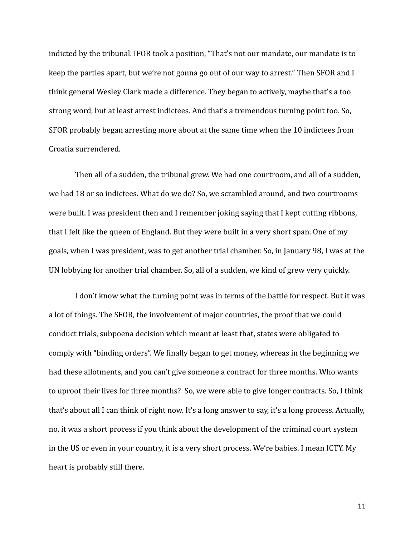indicted by the tribunal. IFOR took a position, "That's not our mandate, our mandate is to keep the parties apart, but we're not gonna go out of our way to arrest." Then SFOR and I think general Wesley Clark made a difference. They began to actively, maybe that's a too strong word, but at least arrest indictees. And that's a tremendous turning point too. So, SFOR probably began arresting more about at the same time when the 10 indictees from Croatia surrendered.

Then all of a sudden, the tribunal grew. We had one courtroom, and all of a sudden, we had 18 or so indictees. What do we do? So, we scrambled around, and two courtrooms were built. I was president then and I remember joking saying that I kept cutting ribbons, that I felt like the queen of England. But they were built in a very short span. One of my goals, when I was president, was to get another trial chamber. So, in January 98, I was at the UN lobbying for another trial chamber. So, all of a sudden, we kind of grew very quickly.

I don't know what the turning point was in terms of the battle for respect. But it was a lot of things. The SFOR, the involvement of major countries, the proof that we could conduct trials, subpoena decision which meant at least that, states were obligated to comply with "binding orders". We finally began to get money, whereas in the beginning we had these allotments, and you can't give someone a contract for three months. Who wants to uproot their lives for three months? So, we were able to give longer contracts. So, I think that's about all I can think of right now. It's a long answer to say, it's a long process. Actually, no, it was a short process if you think about the development of the criminal court system in the US or even in your country, it is a very short process. We're babies. I mean ICTY. My heart is probably still there.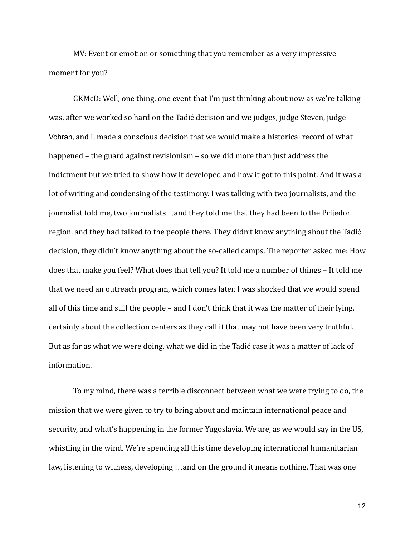MV: Event or emotion or something that you remember as a very impressive moment for you?

GKMcD: Well, one thing, one event that I'm just thinking about now as we're talking was, after we worked so hard on the Tadić decision and we judges, judge Steven, judge Vohrah, and I, made a conscious decision that we would make a historical record of what happened – the guard against revisionism – so we did more than just address the indictment but we tried to show how it developed and how it got to this point. And it was a lot of writing and condensing of the testimony. I was talking with two journalists, and the journalist told me, two journalists…and they told me that they had been to the Prijedor region, and they had talked to the people there. They didn't know anything about the Tadić decision, they didn't know anything about the so-called camps. The reporter asked me: How does that make you feel? What does that tell you? It told me a number of things – It told me that we need an outreach program, which comes later. I was shocked that we would spend all of this time and still the people – and I don't think that it was the matter of their lying, certainly about the collection centers as they call it that may not have been very truthful. But as far as what we were doing, what we did in the Tadić case it was a matter of lack of information.

To my mind, there was a terrible disconnect between what we were trying to do, the mission that we were given to try to bring about and maintain international peace and security, and what's happening in the former Yugoslavia. We are, as we would say in the US, whistling in the wind. We're spending all this time developing international humanitarian law, listening to witness, developing …and on the ground it means nothing. That was one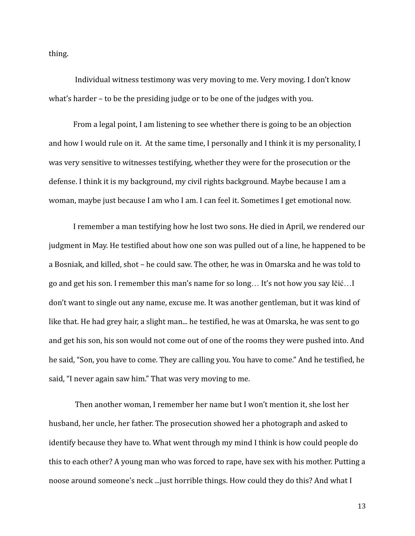thing.

Individual witness testimony was very moving to me. Very moving. I don't know what's harder – to be the presiding judge or to be one of the judges with you.

From a legal point, I am listening to see whether there is going to be an objection and how I would rule on it. At the same time, I personally and I think it is my personality, I was very sensitive to witnesses testifying, whether they were for the prosecution or the defense. I think it is my background, my civil rights background. Maybe because I am a woman, maybe just because I am who I am. I can feel it. Sometimes I get emotional now.

I remember a man testifying how he lost two sons. He died in April, we rendered our judgment in May. He testified about how one son was pulled out of a line, he happened to be a Bosniak, and killed, shot – he could saw. The other, he was in Omarska and he was told to go and get his son. I remember this man's name for so long… It's not how you say Ičić…I don't want to single out any name, excuse me. It was another gentleman, but it was kind of like that. He had grey hair, a slight man... he testified, he was at Omarska, he was sent to go and get his son, his son would not come out of one of the rooms they were pushed into. And he said, "Son, you have to come. They are calling you. You have to come." And he testified, he said, "I never again saw him." That was very moving to me.

Then another woman, I remember her name but I won't mention it, she lost her husband, her uncle, her father. The prosecution showed her a photograph and asked to identify because they have to. What went through my mind I think is how could people do this to each other? A young man who was forced to rape, have sex with his mother. Putting a noose around someone's neck ...just horrible things. How could they do this? And what I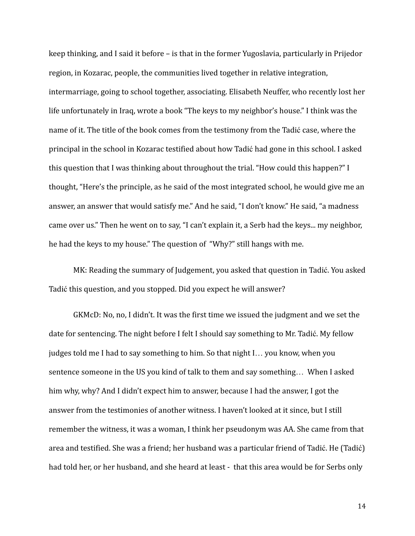keep thinking, and I said it before – is that in the former Yugoslavia, particularly in Prijedor region, in Kozarac, people, the communities lived together in relative integration, intermarriage, going to school together, associating. Elisabeth Neuffer, who recently lost her life unfortunately in Iraq, wrote a book "The keys to my neighbor's house." I think was the name of it. The title of the book comes from the testimony from the Tadić case, where the principal in the school in Kozarac testified about how Tadić had gone in this school. I asked this question that I was thinking about throughout the trial. "How could this happen?" I thought, "Here's the principle, as he said of the most integrated school, he would give me an answer, an answer that would satisfy me." And he said, "I don't know." He said, "a madness came over us." Then he went on to say, "I can't explain it, a Serb had the keys... my neighbor, he had the keys to my house." The question of "Why?" still hangs with me.

MK: Reading the summary of Judgement, you asked that question in Tadić. You asked Tadić this question, and you stopped. Did you expect he will answer?

GKMcD: No, no, I didn't. It was the first time we issued the judgment and we set the date for sentencing. The night before I felt I should say something to Mr. Tadić. My fellow judges told me I had to say something to him. So that night I… you know, when you sentence someone in the US you kind of talk to them and say something… When I asked him why, why? And I didn't expect him to answer, because I had the answer, I got the answer from the testimonies of another witness. I haven't looked at it since, but I still remember the witness, it was a woman, I think her pseudonym was AA. She came from that area and testified. She was a friend; her husband was a particular friend of Tadić. He (Tadić) had told her, or her husband, and she heard at least - that this area would be for Serbs only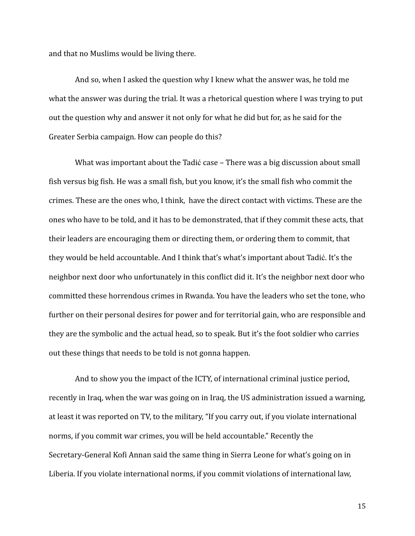and that no Muslims would be living there.

And so, when I asked the question why I knew what the answer was, he told me what the answer was during the trial. It was a rhetorical question where I was trying to put out the question why and answer it not only for what he did but for, as he said for the Greater Serbia campaign. How can people do this?

What was important about the Tadić case – There was a big discussion about small fish versus big fish. He was a small fish, but you know, it's the small fish who commit the crimes. These are the ones who, I think, have the direct contact with victims. These are the ones who have to be told, and it has to be demonstrated, that if they commit these acts, that their leaders are encouraging them or directing them, or ordering them to commit, that they would be held accountable. And I think that's what's important about Tadić. It's the neighbor next door who unfortunately in this conflict did it. It's the neighbor next door who committed these horrendous crimes in Rwanda. You have the leaders who set the tone, who further on their personal desires for power and for territorial gain, who are responsible and they are the symbolic and the actual head, so to speak. But it's the foot soldier who carries out these things that needs to be told is not gonna happen.

And to show you the impact of the ICTY, of international criminal justice period, recently in Iraq, when the war was going on in Iraq, the US administration issued a warning, at least it was reported on TV, to the military, "If you carry out, if you violate international norms, if you commit war crimes, you will be held accountable." Recently the Secretary-General Kofi Annan said the same thing in Sierra Leone for what's going on in Liberia. If you violate international norms, if you commit violations of international law,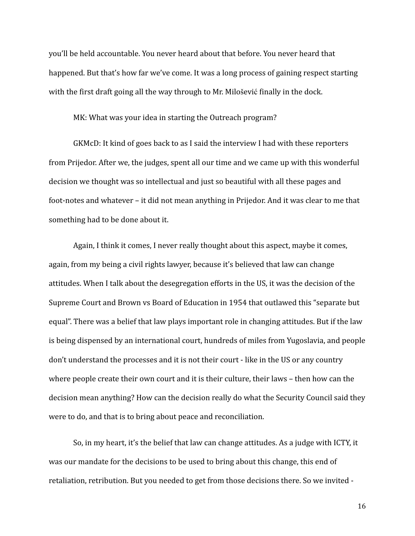you'll be held accountable. You never heard about that before. You never heard that happened. But that's how far we've come. It was a long process of gaining respect starting with the first draft going all the way through to Mr. Milošević finally in the dock.

MK: What was your idea in starting the Outreach program?

GKMcD: It kind of goes back to as I said the interview I had with these reporters from Prijedor. After we, the judges, spent all our time and we came up with this wonderful decision we thought was so intellectual and just so beautiful with all these pages and foot-notes and whatever – it did not mean anything in Prijedor. And it was clear to me that something had to be done about it.

Again, I think it comes, I never really thought about this aspect, maybe it comes, again, from my being a civil rights lawyer, because it's believed that law can change attitudes. When I talk about the desegregation efforts in the US, it was the decision of the Supreme Court and Brown vs Board of Education in 1954 that outlawed this "separate but equal". There was a belief that law plays important role in changing attitudes. But if the law is being dispensed by an international court, hundreds of miles from Yugoslavia, and people don't understand the processes and it is not their court - like in the US or any country where people create their own court and it is their culture, their laws – then how can the decision mean anything? How can the decision really do what the Security Council said they were to do, and that is to bring about peace and reconciliation.

So, in my heart, it's the belief that law can change attitudes. As a judge with ICTY, it was our mandate for the decisions to be used to bring about this change, this end of retaliation, retribution. But you needed to get from those decisions there. So we invited -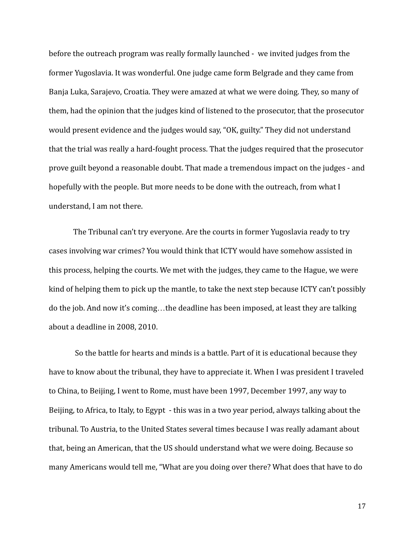before the outreach program was really formally launched - we invited judges from the former Yugoslavia. It was wonderful. One judge came form Belgrade and they came from Banja Luka, Sarajevo, Croatia. They were amazed at what we were doing. They, so many of them, had the opinion that the judges kind of listened to the prosecutor, that the prosecutor would present evidence and the judges would say, "OK, guilty." They did not understand that the trial was really a hard-fought process. That the judges required that the prosecutor prove guilt beyond a reasonable doubt. That made a tremendous impact on the judges - and hopefully with the people. But more needs to be done with the outreach, from what I understand, I am not there.

The Tribunal can't try everyone. Are the courts in former Yugoslavia ready to try cases involving war crimes? You would think that ICTY would have somehow assisted in this process, helping the courts. We met with the judges, they came to the Hague, we were kind of helping them to pick up the mantle, to take the next step because ICTY can't possibly do the job. And now it's coming…the deadline has been imposed, at least they are talking about a deadline in 2008, 2010.

So the battle for hearts and minds is a battle. Part of it is educational because they have to know about the tribunal, they have to appreciate it. When I was president I traveled to China, to Beijing, I went to Rome, must have been 1997, December 1997, any way to Beijing, to Africa, to Italy, to Egypt - this was in a two year period, always talking about the tribunal. To Austria, to the United States several times because I was really adamant about that, being an American, that the US should understand what we were doing. Because so many Americans would tell me, "What are you doing over there? What does that have to do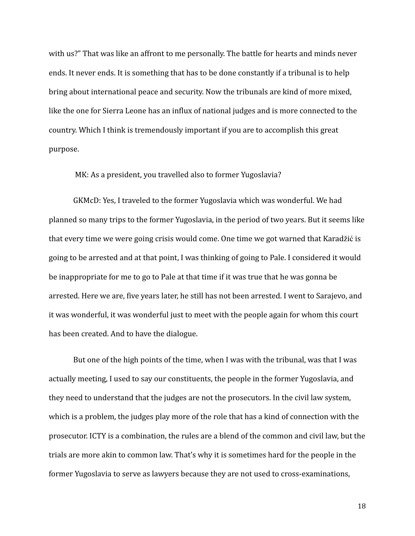with us?" That was like an affront to me personally. The battle for hearts and minds never ends. It never ends. It is something that has to be done constantly if a tribunal is to help bring about international peace and security. Now the tribunals are kind of more mixed, like the one for Sierra Leone has an influx of national judges and is more connected to the country. Which I think is tremendously important if you are to accomplish this great purpose.

MK: As a president, you travelled also to former Yugoslavia?

GKMcD: Yes, I traveled to the former Yugoslavia which was wonderful. We had planned so many trips to the former Yugoslavia, in the period of two years. But it seems like that every time we were going crisis would come. One time we got warned that Karadžić is going to be arrested and at that point, I was thinking of going to Pale. I considered it would be inappropriate for me to go to Pale at that time if it was true that he was gonna be arrested. Here we are, five years later, he still has not been arrested. I went to Sarajevo, and it was wonderful, it was wonderful just to meet with the people again for whom this court has been created. And to have the dialogue.

But one of the high points of the time, when I was with the tribunal, was that I was actually meeting, I used to say our constituents, the people in the former Yugoslavia, and they need to understand that the judges are not the prosecutors. In the civil law system, which is a problem, the judges play more of the role that has a kind of connection with the prosecutor. ICTY is a combination, the rules are a blend of the common and civil law, but the trials are more akin to common law. That's why it is sometimes hard for the people in the former Yugoslavia to serve as lawyers because they are not used to cross-examinations,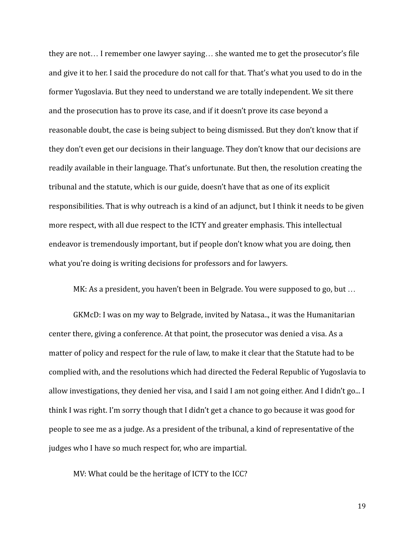they are not… I remember one lawyer saying… she wanted me to get the prosecutor's file and give it to her. I said the procedure do not call for that. That's what you used to do in the former Yugoslavia. But they need to understand we are totally independent. We sit there and the prosecution has to prove its case, and if it doesn't prove its case beyond a reasonable doubt, the case is being subject to being dismissed. But they don't know that if they don't even get our decisions in their language. They don't know that our decisions are readily available in their language. That's unfortunate. But then, the resolution creating the tribunal and the statute, which is our guide, doesn't have that as one of its explicit responsibilities. That is why outreach is a kind of an adjunct, but I think it needs to be given more respect, with all due respect to the ICTY and greater emphasis. This intellectual endeavor is tremendously important, but if people don't know what you are doing, then what you're doing is writing decisions for professors and for lawyers.

MK: As a president, you haven't been in Belgrade. You were supposed to go, but …

GKMcD: I was on my way to Belgrade, invited by Natasa.., it was the Humanitarian center there, giving a conference. At that point, the prosecutor was denied a visa. As a matter of policy and respect for the rule of law, to make it clear that the Statute had to be complied with, and the resolutions which had directed the Federal Republic of Yugoslavia to allow investigations, they denied her visa, and I said I am not going either. And I didn't go... I think I was right. I'm sorry though that I didn't get a chance to go because it was good for people to see me as a judge. As a president of the tribunal, a kind of representative of the judges who I have so much respect for, who are impartial.

MV: What could be the heritage of ICTY to the ICC?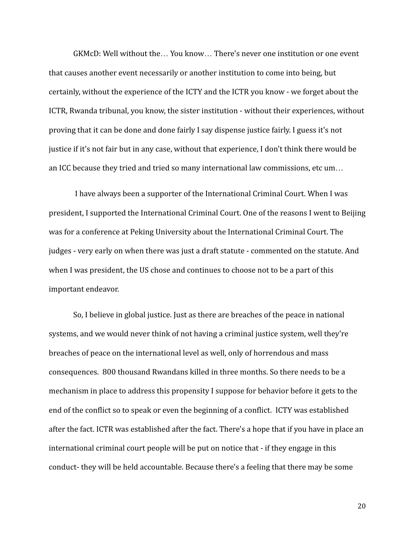GKMcD: Well without the… You know… There's never one institution or one event that causes another event necessarily or another institution to come into being, but certainly, without the experience of the ICTY and the ICTR you know - we forget about the ICTR, Rwanda tribunal, you know, the sister institution - without their experiences, without proving that it can be done and done fairly I say dispense justice fairly. I guess it's not justice if it's not fair but in any case, without that experience, I don't think there would be an ICC because they tried and tried so many international law commissions, etc um…

I have always been a supporter of the International Criminal Court. When I was president, I supported the International Criminal Court. One of the reasons I went to Beijing was for a conference at Peking University about the International Criminal Court. The judges - very early on when there was just a draft statute - commented on the statute. And when I was president, the US chose and continues to choose not to be a part of this important endeavor.

So, I believe in global justice. Just as there are breaches of the peace in national systems, and we would never think of not having a criminal justice system, well they're breaches of peace on the international level as well, only of horrendous and mass consequences. 800 thousand Rwandans killed in three months. So there needs to be a mechanism in place to address this propensity I suppose for behavior before it gets to the end of the conflict so to speak or even the beginning of a conflict. ICTY was established after the fact. ICTR was established after the fact. There's a hope that if you have in place an international criminal court people will be put on notice that - if they engage in this conduct- they will be held accountable. Because there's a feeling that there may be some